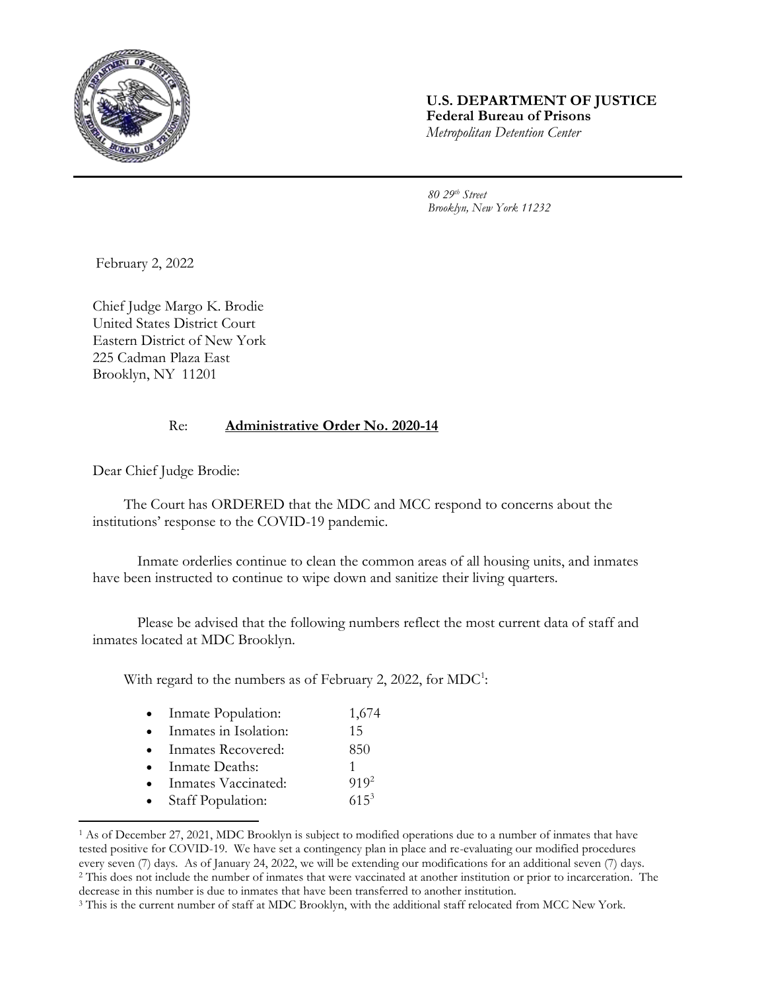

## **U.S. DEPARTMENT OF JUSTICE Federal Bureau of Prisons** *Metropolitan Detention Center*

*80 29th Street Brooklyn, New York 11232*

February 2, 2022

Chief Judge Margo K. Brodie United States District Court Eastern District of New York 225 Cadman Plaza East Brooklyn, NY 11201

## Re: **Administrative Order No. 2020-14**

Dear Chief Judge Brodie:

The Court has ORDERED that the MDC and MCC respond to concerns about the institutions' response to the COVID-19 pandemic.

Inmate orderlies continue to clean the common areas of all housing units, and inmates have been instructed to continue to wipe down and sanitize their living quarters.

Please be advised that the following numbers reflect the most current data of staff and inmates located at MDC Brooklyn.

With regard to the numbers as of February 2, 2022, for  $MDC^1$ :

| Inmate Population: | 1,674 |
|--------------------|-------|
|--------------------|-------|

- Inmates in Isolation: 15
- Inmates Recovered: 850
- Inmate Deaths: 1
- Inmates Vaccinated: 919<sup>2</sup>
- Staff Population: 615<sup>3</sup>

l

<sup>1</sup> As of December 27, 2021, MDC Brooklyn is subject to modified operations due to a number of inmates that have tested positive for COVID-19. We have set a contingency plan in place and re-evaluating our modified procedures every seven (7) days. As of January 24, 2022, we will be extending our modifications for an additional seven (7) days. <sup>2</sup> This does not include the number of inmates that were vaccinated at another institution or prior to incarceration. The decrease in this number is due to inmates that have been transferred to another institution.

<sup>&</sup>lt;sup>3</sup> This is the current number of staff at MDC Brooklyn, with the additional staff relocated from MCC New York.